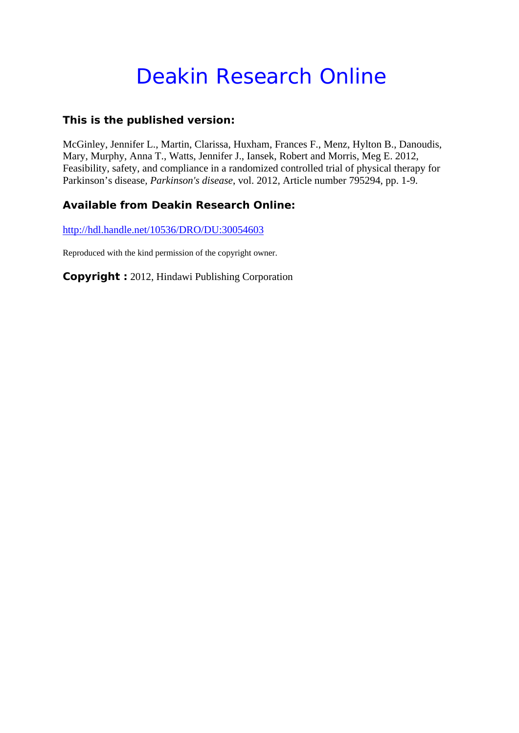# Deakin Research Online

## **This is the published version:**

McGinley, Jennifer L., Martin, Clarissa, Huxham, Frances F., Menz, Hylton B., Danoudis, Mary, Murphy, Anna T., Watts, Jennifer J., Iansek, Robert and Morris, Meg E. 2012, Feasibility, safety, and compliance in a randomized controlled trial of physical therapy for Parkinson's disease*, Parkinson's disease*, vol. 2012, Article number 795294, pp. 1-9.

## **Available from Deakin Research Online:**

http://hdl.handle.net/10536/DRO/DU:30054603

Reproduced with the kind permission of the copyright owner.

**Copyright :** 2012, Hindawi Publishing Corporation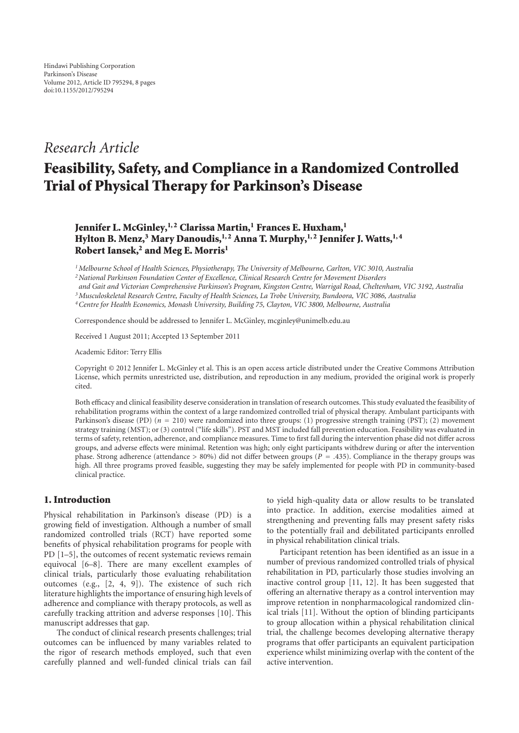# *Research Article*

# **Feasibility, Safety, and Compliance in a Randomized Controlled Trial of Physical Therapy for Parkinson's Disease**

## Jennifer L. McGinley,<sup>1,2</sup> Clarissa Martin,<sup>1</sup> Frances E. Huxham.<sup>1</sup> **Hylton B. Menz,<sup>3</sup> Mary Danoudis, <sup>1, 2</sup> Anna T. Murphy, <sup>1, 2</sup> Jennifer J. Watts, <sup>1, 4</sup>** Robert Iansek,<sup>2</sup> and Meg E. Morris<sup>1</sup>

*1Melbourne School of Health Sciences, Physiotherapy, The University of Melbourne, Carlton, VIC 3010, Australia*

*2National Parkinson Foundation Center of Excellence, Clinical Research Centre for Movement Disorders*

*and Gait and Victorian Comprehensive Parkinson's Program, Kingston Centre, Warrigal Road, Cheltenham, VIC 3192, Australia*

*3Musculoskeletal Research Centre, Faculty of Health Sciences, La Trobe University, Bundoora, VIC 3086, Australia*

*4Centre for Health Economics, Monash University, Building 75, Clayton, VIC 3800, Melbourne, Australia*

Correspondence should be addressed to Jennifer L. McGinley, mcginley@unimelb.edu.au

Received 1 August 2011; Accepted 13 September 2011

Academic Editor: Terry Ellis

Copyright © 2012 Jennifer L. McGinley et al. This is an open access article distributed under the Creative Commons Attribution License, which permits unrestricted use, distribution, and reproduction in any medium, provided the original work is properly cited.

Both efficacy and clinical feasibility deserve consideration in translation of research outcomes. This study evaluated the feasibility of rehabilitation programs within the context of a large randomized controlled trial of physical therapy. Ambulant participants with Parkinson's disease (PD) ( $n = 210$ ) were randomized into three groups: (1) progressive strength training (PST); (2) movement strategy training (MST); or (3) control ("life skills"). PST and MST included fall prevention education. Feasibility was evaluated in terms of safety, retention, adherence, and compliance measures. Time to first fall during the intervention phase did not differ across groups, and adverse effects were minimal. Retention was high; only eight participants withdrew during or after the intervention phase. Strong adherence (attendance *<sup>&</sup>gt;* 80%) did not differ between groups (*<sup>P</sup>* <sup>=</sup> *.*435). Compliance in the therapy groups was high. All three programs proved feasible, suggesting they may be safely implemented for people with PD in community-based clinical practice.

## **1. Introduction**

Physical rehabilitation in Parkinson's disease (PD) is a growing field of investigation. Although a number of small randomized controlled trials (RCT) have reported some benefits of physical rehabilitation programs for people with PD [1–5], the outcomes of recent systematic reviews remain equivocal [6–8]. There are many excellent examples of clinical trials, particularly those evaluating rehabilitation outcomes (e.g., [2, 4, 9]). The existence of such rich literature highlights the importance of ensuring high levels of adherence and compliance with therapy protocols, as well as carefully tracking attrition and adverse responses [10]. This manuscript addresses that gap.

The conduct of clinical research presents challenges; trial outcomes can be influenced by many variables related to the rigor of research methods employed, such that even carefully planned and well-funded clinical trials can fail to yield high-quality data or allow results to be translated into practice. In addition, exercise modalities aimed at strengthening and preventing falls may present safety risks to the potentially frail and debilitated participants enrolled in physical rehabilitation clinical trials.

Participant retention has been identified as an issue in a number of previous randomized controlled trials of physical rehabilitation in PD, particularly those studies involving an inactive control group [11, 12]. It has been suggested that offering an alternative therapy as a control intervention may improve retention in nonpharmacological randomized clinical trials [11]. Without the option of blinding participants to group allocation within a physical rehabilitation clinical trial, the challenge becomes developing alternative therapy programs that offer participants an equivalent participation experience whilst minimizing overlap with the content of the active intervention.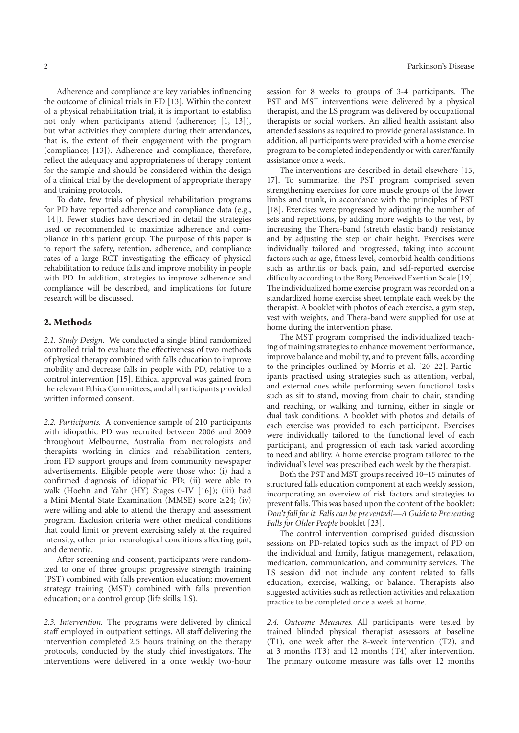Adherence and compliance are key variables influencing the outcome of clinical trials in PD [13]. Within the context of a physical rehabilitation trial, it is important to establish not only when participants attend (adherence; [1, 13]), but what activities they complete during their attendances, that is, the extent of their engagement with the program (compliance; [13]). Adherence and compliance, therefore, reflect the adequacy and appropriateness of therapy content for the sample and should be considered within the design of a clinical trial by the development of appropriate therapy and training protocols.

To date, few trials of physical rehabilitation programs for PD have reported adherence and compliance data (e.g., [14]). Fewer studies have described in detail the strategies used or recommended to maximize adherence and compliance in this patient group. The purpose of this paper is to report the safety, retention, adherence, and compliance rates of a large RCT investigating the efficacy of physical rehabilitation to reduce falls and improve mobility in people with PD. In addition, strategies to improve adherence and compliance will be described, and implications for future research will be discussed.

#### **2. Methods**

*2.1. Study Design.* We conducted a single blind randomized controlled trial to evaluate the effectiveness of two methods of physical therapy combined with falls education to improve mobility and decrease falls in people with PD, relative to a control intervention [15]. Ethical approval was gained from the relevant Ethics Committees, and all participants provided written informed consent.

*2.2. Participants.* A convenience sample of 210 participants with idiopathic PD was recruited between 2006 and 2009 throughout Melbourne, Australia from neurologists and therapists working in clinics and rehabilitation centers, from PD support groups and from community newspaper advertisements. Eligible people were those who: (i) had a confirmed diagnosis of idiopathic PD; (ii) were able to walk (Hoehn and Yahr (HY) Stages 0-IV [16]); (iii) had a Mini Mental State Examination (MMSE) score ≥24; (iv) were willing and able to attend the therapy and assessment program. Exclusion criteria were other medical conditions that could limit or prevent exercising safely at the required intensity, other prior neurological conditions affecting gait, and dementia.

After screening and consent, participants were randomized to one of three groups: progressive strength training (PST) combined with falls prevention education; movement strategy training (MST) combined with falls prevention education; or a control group (life skills; LS).

*2.3. Intervention.* The programs were delivered by clinical staff employed in outpatient settings. All staff delivering the intervention completed 2.5 hours training on the therapy protocols, conducted by the study chief investigators. The interventions were delivered in a once weekly two-hour

session for 8 weeks to groups of 3-4 participants. The PST and MST interventions were delivered by a physical therapist, and the LS program was delivered by occupational therapists or social workers. An allied health assistant also attended sessions as required to provide general assistance. In addition, all participants were provided with a home exercise program to be completed independently or with carer/family assistance once a week.

The interventions are described in detail elsewhere [15, 17]. To summarize, the PST program comprised seven strengthening exercises for core muscle groups of the lower limbs and trunk, in accordance with the principles of PST [18]. Exercises were progressed by adjusting the number of sets and repetitions, by adding more weights to the vest, by increasing the Thera-band (stretch elastic band) resistance and by adjusting the step or chair height. Exercises were individually tailored and progressed, taking into account factors such as age, fitness level, comorbid health conditions such as arthritis or back pain, and self-reported exercise difficulty according to the Borg Perceived Exertion Scale [19]. The individualized home exercise program was recorded on a standardized home exercise sheet template each week by the therapist. A booklet with photos of each exercise, a gym step, vest with weights, and Thera-band were supplied for use at home during the intervention phase.

The MST program comprised the individualized teaching of training strategies to enhance movement performance, improve balance and mobility, and to prevent falls, according to the principles outlined by Morris et al. [20–22]. Participants practised using strategies such as attention, verbal, and external cues while performing seven functional tasks such as sit to stand, moving from chair to chair, standing and reaching, or walking and turning, either in single or dual task conditions. A booklet with photos and details of each exercise was provided to each participant. Exercises were individually tailored to the functional level of each participant, and progression of each task varied according to need and ability. A home exercise program tailored to the individual's level was prescribed each week by the therapist.

Both the PST and MST groups received 10–15 minutes of structured falls education component at each weekly session, incorporating an overview of risk factors and strategies to prevent falls. This was based upon the content of the booklet: *Don't fall for it. Falls can be prevented!—A Guide to Preventing Falls for Older People* booklet [23].

The control intervention comprised guided discussion sessions on PD-related topics such as the impact of PD on the individual and family, fatigue management, relaxation, medication, communication, and community services. The LS session did not include any content related to falls education, exercise, walking, or balance. Therapists also suggested activities such as reflection activities and relaxation practice to be completed once a week at home.

*2.4. Outcome Measures.* All participants were tested by trained blinded physical therapist assessors at baseline (T1), one week after the 8-week intervention (T2), and at 3 months (T3) and 12 months (T4) after intervention. The primary outcome measure was falls over 12 months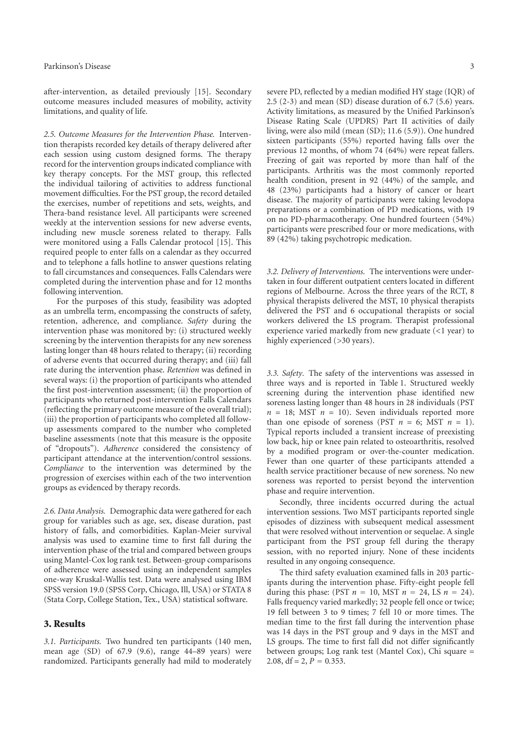after-intervention, as detailed previously [15]. Secondary outcome measures included measures of mobility, activity limitations, and quality of life.

*2.5. Outcome Measures for the Intervention Phase.* Intervention therapists recorded key details of therapy delivered after each session using custom designed forms. The therapy record for the intervention groups indicated compliance with key therapy concepts. For the MST group, this reflected the individual tailoring of activities to address functional movement difficulties. For the PST group, the record detailed the exercises, number of repetitions and sets, weights, and Thera-band resistance level. All participants were screened weekly at the intervention sessions for new adverse events, including new muscle soreness related to therapy. Falls were monitored using a Falls Calendar protocol [15]. This required people to enter falls on a calendar as they occurred and to telephone a falls hotline to answer questions relating to fall circumstances and consequences. Falls Calendars were completed during the intervention phase and for 12 months following intervention.

For the purposes of this study, feasibility was adopted as an umbrella term, encompassing the constructs of safety, retention, adherence, and compliance. *Safety* during the intervention phase was monitored by: (i) structured weekly screening by the intervention therapists for any new soreness lasting longer than 48 hours related to therapy; (ii) recording of adverse events that occurred during therapy; and (iii) fall rate during the intervention phase. *Retention* was defined in several ways: (i) the proportion of participants who attended the first post-intervention assessment; (ii) the proportion of participants who returned post-intervention Falls Calendars (reflecting the primary outcome measure of the overall trial); (iii) the proportion of participants who completed all followup assessments compared to the number who completed baseline assessments (note that this measure is the opposite of "dropouts"). *Adherence* considered the consistency of participant attendance at the intervention/control sessions. *Compliance* to the intervention was determined by the progression of exercises within each of the two intervention groups as evidenced by therapy records.

*2.6. Data Analysis.* Demographic data were gathered for each group for variables such as age, sex, disease duration, past history of falls, and comorbidities. Kaplan-Meier survival analysis was used to examine time to first fall during the intervention phase of the trial and compared between groups using Mantel-Cox log rank test. Between-group comparisons of adherence were assessed using an independent samples one-way Kruskal-Wallis test. Data were analysed using IBM SPSS version 19.0 (SPSS Corp, Chicago, Ill, USA) or STATA 8 (Stata Corp, College Station, Tex., USA) statistical software.

### **3. Results**

*3.1. Participants.* Two hundred ten participants (140 men, mean age (SD) of 67.9 (9.6), range 44–89 years) were randomized. Participants generally had mild to moderately

severe PD, reflected by a median modified HY stage (IQR) of 2.5 (2-3) and mean (SD) disease duration of 6.7 (5.6) years. Activity limitations, as measured by the Unified Parkinson's Disease Rating Scale (UPDRS) Part II activities of daily living, were also mild (mean (SD); 11.6 (5.9)). One hundred sixteen participants (55%) reported having falls over the previous 12 months, of whom 74 (64%) were repeat fallers. Freezing of gait was reported by more than half of the participants. Arthritis was the most commonly reported health condition, present in 92 (44%) of the sample, and 48 (23%) participants had a history of cancer or heart disease. The majority of participants were taking levodopa preparations or a combination of PD medications, with 19 on no PD-pharmacotherapy. One hundred fourteen (54%) participants were prescribed four or more medications, with 89 (42%) taking psychotropic medication.

*3.2. Delivery of Interventions.* The interventions were undertaken in four different outpatient centers located in different regions of Melbourne. Across the three years of the RCT, 8 physical therapists delivered the MST, 10 physical therapists delivered the PST and 6 occupational therapists or social workers delivered the LS program. Therapist professional experience varied markedly from new graduate (*<*1 year) to highly experienced (*>*30 years).

*3.3. Safety.* The safety of the interventions was assessed in three ways and is reported in Table 1. Structured weekly screening during the intervention phase identified new soreness lasting longer than 48 hours in 28 individuals (PST  $n = 18$ ; MST  $n = 10$ ). Seven individuals reported more than one episode of soreness (PST  $n = 6$ ; MST  $n = 1$ ). Typical reports included a transient increase of preexisting low back, hip or knee pain related to osteoarthritis, resolved by a modified program or over-the-counter medication. Fewer than one quarter of these participants attended a health service practitioner because of new soreness. No new soreness was reported to persist beyond the intervention phase and require intervention.

Secondly, three incidents occurred during the actual intervention sessions. Two MST participants reported single episodes of dizziness with subsequent medical assessment that were resolved without intervention or sequelae. A single participant from the PST group fell during the therapy session, with no reported injury. None of these incidents resulted in any ongoing consequence.

The third safety evaluation examined falls in 203 participants during the intervention phase. Fifty-eight people fell during this phase: (PST  $n = 10$ , MST  $n = 24$ , LS  $n = 24$ ). Falls frequency varied markedly; 32 people fell once or twice; 19 fell between 3 to 9 times; 7 fell 10 or more times. The median time to the first fall during the intervention phase was 14 days in the PST group and 9 days in the MST and LS groups. The time to first fall did not differ significantly between groups; Log rank test (Mantel Cox), Chi square = 2.08,  $df = 2$ ,  $P = 0.353$ .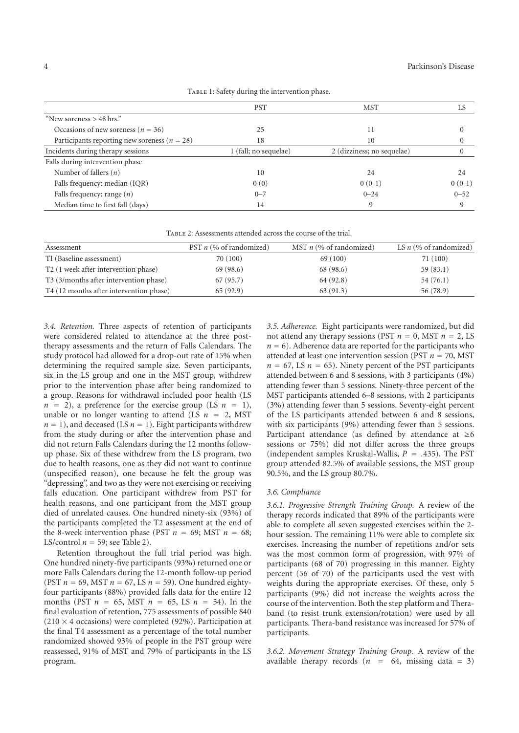|                                                  | <b>PST</b>            | <b>MST</b>                 | LS       |
|--------------------------------------------------|-----------------------|----------------------------|----------|
| "New soreness $>$ 48 hrs."                       |                       |                            |          |
| Occasions of new soreness ( $n = 36$ )           | 25                    | 11                         |          |
| Participants reporting new soreness ( $n = 28$ ) | 18                    | 10                         |          |
| Incidents during therapy sessions                | 1 (fall; no sequelae) | 2 (dizziness; no sequelae) |          |
| Falls during intervention phase                  |                       |                            |          |
| Number of fallers $(n)$                          | 10                    | 24                         | 24       |
| Falls frequency: median (IQR)                    | 0(0)                  | $0(0-1)$                   | $0(0-1)$ |
| Falls frequency: range $(n)$                     | $0 - 7$               | $0 - 24$                   | $0 - 52$ |
| Median time to first fall (days)                 | 14                    | 9                          | 9        |

TABLE 1: Safety during the intervention phase.

Table 2: Assessments attended across the course of the trial.

| Assessment                                         | PST $n$ (% of randomized) | MST $n$ (% of randomized) | LS $n$ (% of randomized) |
|----------------------------------------------------|---------------------------|---------------------------|--------------------------|
| TI (Baseline assessment)                           | 70 (100)                  | 69(100)                   | 71 (100)                 |
| T <sub>2</sub> (1 week after intervention phase)   | 69(98.6)                  | 68 (98.6)                 | 59(83.1)                 |
| T <sub>3</sub> (3/months after intervention phase) | 67(95.7)                  | 64 (92.8)                 | 54(76.1)                 |
| T4 (12 months after intervention phase)            | 65(92.9)                  | 63(91.3)                  | 56 (78.9)                |

*3.4. Retention.* Three aspects of retention of participants were considered related to attendance at the three posttherapy assessments and the return of Falls Calendars. The study protocol had allowed for a drop-out rate of 15% when determining the required sample size. Seven participants, six in the LS group and one in the MST group, withdrew prior to the intervention phase after being randomized to a group. Reasons for withdrawal included poor health (LS  $n = 2$ ), a preference for the exercise group (LS  $n = 1$ ), unable or no longer wanting to attend (LS  $n = 2$ , MST)  $n = 1$ , and deceased (LS  $n = 1$ ). Eight participants withdrew from the study during or after the intervention phase and did not return Falls Calendars during the 12 months followup phase. Six of these withdrew from the LS program, two due to health reasons, one as they did not want to continue (unspecified reason), one because he felt the group was "depressing", and two as they were not exercising or receiving falls education. One participant withdrew from PST for health reasons, and one participant from the MST group died of unrelated causes. One hundred ninety-six (93%) of the participants completed the T2 assessment at the end of the 8-week intervention phase (PST  $n = 69$ ; MST  $n = 68$ ; LS/control  $n = 59$ ; see Table 2).

Retention throughout the full trial period was high. One hundred ninety-five participants (93%) returned one or more Falls Calendars during the 12-month follow-up period (PST  $n = 69$ , MST  $n = 67$ , LS  $n = 59$ ). One hundred eightyfour participants (88%) provided falls data for the entire 12 months (PST *<sup>n</sup>* <sup>=</sup> 65, MST *<sup>n</sup>* <sup>=</sup> 65, LS *<sup>n</sup>* <sup>=</sup> 54). In the final evaluation of retention, 775 assessments of possible 840  $(210 \times 4$  occasions) were completed  $(92\%)$ . Participation at the final T4 assessment as a percentage of the total number randomized showed 93% of people in the PST group were reassessed, 91% of MST and 79% of participants in the LS program.

*3.5. Adherence.* Eight participants were randomized, but did not attend any therapy sessions (PST  $n = 0$ , MST  $n = 2$ , LS  $n = 6$ ). Adherence data are reported for the participants who attended at least one intervention session (PST *<sup>n</sup>* <sup>=</sup> 70, MST  $n = 67$ , LS  $n = 65$ ). Ninety percent of the PST participants attended between 6 and 8 sessions, with 3 participants (4%) attending fewer than 5 sessions. Ninety-three percent of the MST participants attended 6–8 sessions, with 2 participants (3%) attending fewer than 5 sessions. Seventy-eight percent of the LS participants attended between 6 and 8 sessions, with six participants (9%) attending fewer than 5 sessions. Participant attendance (as defined by attendance at  $\geq 6$ sessions or 75%) did not differ across the three groups (independent samples Kruskal-Wallis, *<sup>P</sup>* <sup>=</sup> *.*435). The PST group attended 82.5% of available sessions, the MST group 90.5%, and the LS group 80.7%.

#### *3.6. Compliance*

*3.6.1. Progressive Strength Training Group.* A review of the therapy records indicated that 89% of the participants were able to complete all seven suggested exercises within the 2 hour session. The remaining 11% were able to complete six exercises. Increasing the number of repetitions and/or sets was the most common form of progression, with 97% of participants (68 of 70) progressing in this manner. Eighty percent (56 of 70) of the participants used the vest with weights during the appropriate exercises. Of these, only 5 participants (9%) did not increase the weights across the course of the intervention. Both the step platform and Theraband (to resist trunk extension/rotation) were used by all participants. Thera-band resistance was increased for 57% of participants.

*3.6.2. Movement Strategy Training Group.* A review of the available therapy records  $(n = 64, \text{ missing data} = 3)$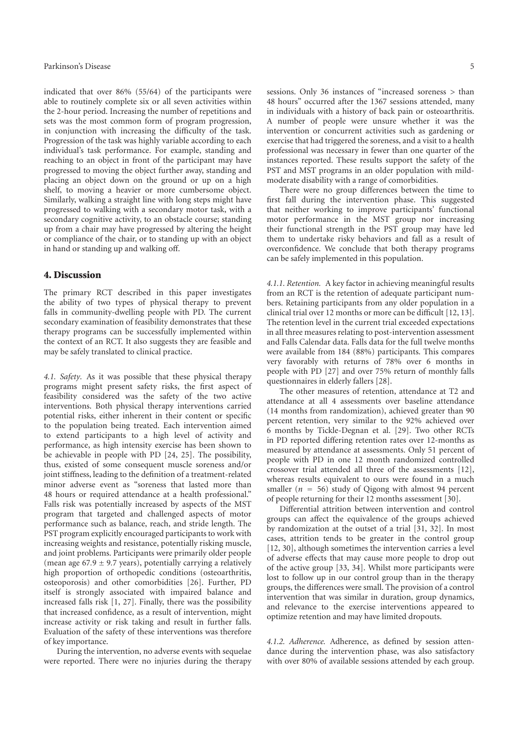indicated that over 86% (55/64) of the participants were able to routinely complete six or all seven activities within the 2-hour period. Increasing the number of repetitions and sets was the most common form of program progression, in conjunction with increasing the difficulty of the task. Progression of the task was highly variable according to each individual's task performance. For example, standing and reaching to an object in front of the participant may have progressed to moving the object further away, standing and placing an object down on the ground or up on a high shelf, to moving a heavier or more cumbersome object. Similarly, walking a straight line with long steps might have progressed to walking with a secondary motor task, with a secondary cognitive activity, to an obstacle course; standing up from a chair may have progressed by altering the height or compliance of the chair, or to standing up with an object in hand or standing up and walking off.

#### **4. Discussion**

The primary RCT described in this paper investigates the ability of two types of physical therapy to prevent falls in community-dwelling people with PD. The current secondary examination of feasibility demonstrates that these therapy programs can be successfully implemented within the context of an RCT. It also suggests they are feasible and may be safely translated to clinical practice.

*4.1. Safety.* As it was possible that these physical therapy programs might present safety risks, the first aspect of feasibility considered was the safety of the two active interventions. Both physical therapy interventions carried potential risks, either inherent in their content or specific to the population being treated. Each intervention aimed to extend participants to a high level of activity and performance, as high intensity exercise has been shown to be achievable in people with PD [24, 25]. The possibility, thus, existed of some consequent muscle soreness and/or joint stiffness, leading to the definition of a treatment-related minor adverse event as "soreness that lasted more than 48 hours or required attendance at a health professional." Falls risk was potentially increased by aspects of the MST program that targeted and challenged aspects of motor performance such as balance, reach, and stride length. The PST program explicitly encouraged participants to work with increasing weights and resistance, potentially risking muscle, and joint problems. Participants were primarily older people (mean age  $67.9 \pm 9.7$  years), potentially carrying a relatively high proportion of orthopedic conditions (osteoarthritis, osteoporosis) and other comorbidities [26]. Further, PD itself is strongly associated with impaired balance and increased falls risk [1, 27]. Finally, there was the possibility that increased confidence, as a result of intervention, might increase activity or risk taking and result in further falls. Evaluation of the safety of these interventions was therefore of key importance.

During the intervention, no adverse events with sequelae were reported. There were no injuries during the therapy

sessions. Only 36 instances of "increased soreness *>* than 48 hours" occurred after the 1367 sessions attended, many in individuals with a history of back pain or osteoarthritis. A number of people were unsure whether it was the intervention or concurrent activities such as gardening or exercise that had triggered the soreness, and a visit to a health professional was necessary in fewer than one quarter of the instances reported. These results support the safety of the PST and MST programs in an older population with mildmoderate disability with a range of comorbidities.

There were no group differences between the time to first fall during the intervention phase. This suggested that neither working to improve participants' functional motor performance in the MST group nor increasing their functional strength in the PST group may have led them to undertake risky behaviors and fall as a result of overconfidence. We conclude that both therapy programs can be safely implemented in this population.

*4.1.1. Retention.* A key factor in achieving meaningful results from an RCT is the retention of adequate participant numbers. Retaining participants from any older population in a clinical trial over 12 months or more can be difficult [12, 13]. The retention level in the current trial exceeded expectations in all three measures relating to post-intervention assessment and Falls Calendar data. Falls data for the full twelve months were available from 184 (88%) participants. This compares very favorably with returns of 78% over 6 months in people with PD [27] and over 75% return of monthly falls questionnaires in elderly fallers [28].

The other measures of retention, attendance at T2 and attendance at all 4 assessments over baseline attendance (14 months from randomization), achieved greater than 90 percent retention, very similar to the 92% achieved over 6 months by Tickle-Degnan et al. [29]. Two other RCTs in PD reported differing retention rates over 12-months as measured by attendance at assessments. Only 51 percent of people with PD in one 12 month randomized controlled crossover trial attended all three of the assessments [12], whereas results equivalent to ours were found in a much smaller  $(n = 56)$  study of Qigong with almost 94 percent of people returning for their 12 months assessment [30].

Differential attrition between intervention and control groups can affect the equivalence of the groups achieved by randomization at the outset of a trial [31, 32]. In most cases, attrition tends to be greater in the control group [12, 30], although sometimes the intervention carries a level of adverse effects that may cause more people to drop out of the active group [33, 34]. Whilst more participants were lost to follow up in our control group than in the therapy groups, the differences were small. The provision of a control intervention that was similar in duration, group dynamics, and relevance to the exercise interventions appeared to optimize retention and may have limited dropouts.

*4.1.2. Adherence.* Adherence, as defined by session attendance during the intervention phase, was also satisfactory with over 80% of available sessions attended by each group.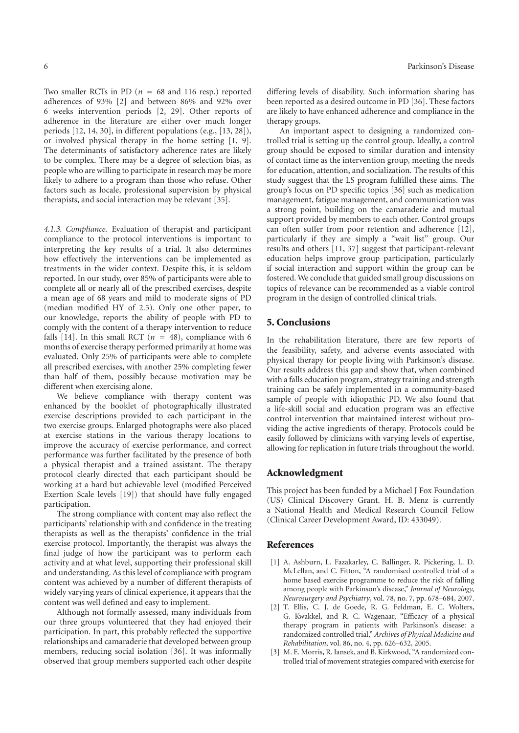Two smaller RCTs in PD ( $n = 68$  and 116 resp.) reported adherences of 93% [2] and between 86% and 92% over 6 weeks intervention periods [2, 29]. Other reports of adherence in the literature are either over much longer periods [12, 14, 30], in different populations (e.g., [13, 28]), or involved physical therapy in the home setting [1, 9]. The determinants of satisfactory adherence rates are likely to be complex. There may be a degree of selection bias, as people who are willing to participate in research may be more likely to adhere to a program than those who refuse. Other factors such as locale, professional supervision by physical therapists, and social interaction may be relevant [35].

*4.1.3. Compliance.* Evaluation of therapist and participant compliance to the protocol interventions is important to interpreting the key results of a trial. It also determines how effectively the interventions can be implemented as treatments in the wider context. Despite this, it is seldom reported. In our study, over 85% of participants were able to complete all or nearly all of the prescribed exercises, despite a mean age of 68 years and mild to moderate signs of PD (median modified HY of 2.5). Only one other paper, to our knowledge, reports the ability of people with PD to comply with the content of a therapy intervention to reduce falls [14]. In this small RCT ( $n = 48$ ), compliance with 6 months of exercise therapy performed primarily at home was evaluated. Only 25% of participants were able to complete all prescribed exercises, with another 25% completing fewer than half of them, possibly because motivation may be different when exercising alone.

We believe compliance with therapy content was enhanced by the booklet of photographically illustrated exercise descriptions provided to each participant in the two exercise groups. Enlarged photographs were also placed at exercise stations in the various therapy locations to improve the accuracy of exercise performance, and correct performance was further facilitated by the presence of both a physical therapist and a trained assistant. The therapy protocol clearly directed that each participant should be working at a hard but achievable level (modified Perceived Exertion Scale levels [19]) that should have fully engaged participation.

The strong compliance with content may also reflect the participants' relationship with and confidence in the treating therapists as well as the therapists' confidence in the trial exercise protocol. Importantly, the therapist was always the final judge of how the participant was to perform each activity and at what level, supporting their professional skill and understanding. As this level of compliance with program content was achieved by a number of different therapists of widely varying years of clinical experience, it appears that the content was well defined and easy to implement.

Although not formally assessed, many individuals from our three groups volunteered that they had enjoyed their participation. In part, this probably reflected the supportive relationships and camaraderie that developed between group members, reducing social isolation [36]. It was informally observed that group members supported each other despite differing levels of disability. Such information sharing has been reported as a desired outcome in PD [36]. These factors are likely to have enhanced adherence and compliance in the therapy groups.

An important aspect to designing a randomized controlled trial is setting up the control group. Ideally, a control group should be exposed to similar duration and intensity of contact time as the intervention group, meeting the needs for education, attention, and socialization. The results of this study suggest that the LS program fulfilled these aims. The group's focus on PD specific topics [36] such as medication management, fatigue management, and communication was a strong point, building on the camaraderie and mutual support provided by members to each other. Control groups can often suffer from poor retention and adherence [12], particularly if they are simply a "wait list" group. Our results and others [11, 37] suggest that participant-relevant education helps improve group participation, particularly if social interaction and support within the group can be fostered. We conclude that guided small group discussions on topics of relevance can be recommended as a viable control program in the design of controlled clinical trials.

#### **5. Conclusions**

In the rehabilitation literature, there are few reports of the feasibility, safety, and adverse events associated with physical therapy for people living with Parkinson's disease. Our results address this gap and show that, when combined with a falls education program, strategy training and strength training can be safely implemented in a community-based sample of people with idiopathic PD. We also found that a life-skill social and education program was an effective control intervention that maintained interest without providing the active ingredients of therapy. Protocols could be easily followed by clinicians with varying levels of expertise, allowing for replication in future trials throughout the world.

#### **Acknowledgment**

This project has been funded by a Michael J Fox Foundation (US) Clinical Discovery Grant. H. B. Menz is currently a National Health and Medical Research Council Fellow (Clinical Career Development Award, ID: 433049).

#### **References**

- [1] A. Ashburn, L. Fazakarley, C. Ballinger, R. Pickering, L. D. McLellan, and C. Fitton, "A randomised controlled trial of a home based exercise programme to reduce the risk of falling among people with Parkinson's disease," *Journal of Neurology, Neurosurgery and Psychiatry*, vol. 78, no. 7, pp. 678–684, 2007.
- [2] T. Ellis, C. J. de Goede, R. G. Feldman, E. C. Wolters, G. Kwakkel, and R. C. Wagenaar, "Efficacy of a physical therapy program in patients with Parkinson's disease: a randomized controlled trial," *Archives of Physical Medicine and Rehabilitation*, vol. 86, no. 4, pp. 626–632, 2005.
- [3] M. E. Morris, R. Iansek, and B. Kirkwood, "A randomized controlled trial of movement strategies compared with exercise for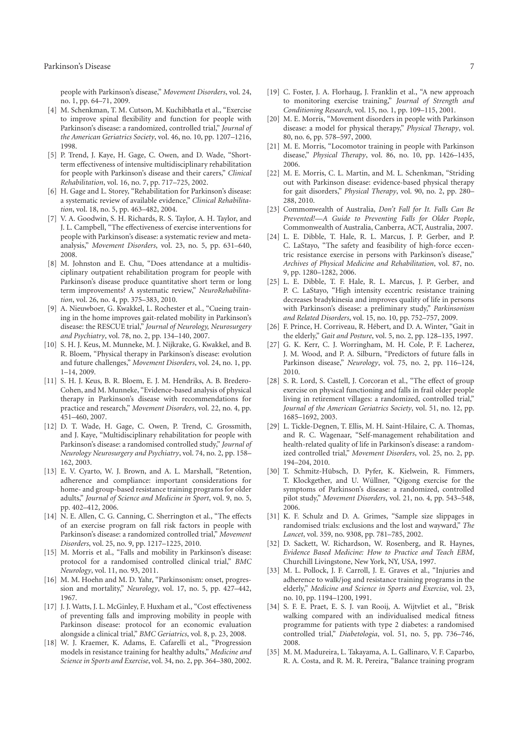people with Parkinson's disease," *Movement Disorders*, vol. 24, no. 1, pp. 64–71, 2009.

- [4] M. Schenkman, T. M. Cutson, M. Kuchibhatla et al., "Exercise to improve spinal flexibility and function for people with Parkinson's disease: a randomized, controlled trial," *Journal of the American Geriatrics Society*, vol. 46, no. 10, pp. 1207–1216, 1998.
- [5] P. Trend, J. Kaye, H. Gage, C. Owen, and D. Wade, "Shortterm effectiveness of intensive multidisciplinary rehabilitation for people with Parkinson's disease and their carers," *Clinical Rehabilitation*, vol. 16, no. 7, pp. 717–725, 2002.
- [6] H. Gage and L. Storey, "Rehabilitation for Parkinson's disease: a systematic review of available evidence," *Clinical Rehabilitation*, vol. 18, no. 5, pp. 463–482, 2004.
- [7] V. A. Goodwin, S. H. Richards, R. S. Taylor, A. H. Taylor, and J. L. Campbell, "The effectiveness of exercise interventions for people with Parkinson's disease: a systematic review and metaanalysis," *Movement Disorders*, vol. 23, no. 5, pp. 631–640, 2008.
- [8] M. Johnston and E. Chu, "Does attendance at a multidisciplinary outpatient rehabilitation program for people with Parkinson's disease produce quantitative short term or long term improvements? A systematic review," *NeuroRehabilitation*, vol. 26, no. 4, pp. 375–383, 2010.
- [9] A. Nieuwboer, G. Kwakkel, L. Rochester et al., "Cueing training in the home improves gait-related mobility in Parkinson's disease: the RESCUE trial," *Journal of Neurology, Neurosurgery and Psychiatry*, vol. 78, no. 2, pp. 134–140, 2007.
- [10] S. H. J. Keus, M. Munneke, M. J. Nijkrake, G. Kwakkel, and B. R. Bloem, "Physical therapy in Parkinson's disease: evolution and future challenges," *Movement Disorders*, vol. 24, no. 1, pp. 1–14, 2009.
- [11] S. H. J. Keus, B. R. Bloem, E. J. M. Hendriks, A. B. Bredero-Cohen, and M. Munneke, "Evidence-based analysis of physical therapy in Parkinson's disease with recommendations for practice and research," *Movement Disorders*, vol. 22, no. 4, pp. 451–460, 2007.
- [12] D. T. Wade, H. Gage, C. Owen, P. Trend, C. Grossmith, and J. Kaye, "Multidisciplinary rehabilitation for people with Parkinson's disease: a randomised controlled study," *Journal of Neurology Neurosurgery and Psychiatry*, vol. 74, no. 2, pp. 158– 162, 2003.
- [13] E. V. Cyarto, W. J. Brown, and A. L. Marshall, "Retention, adherence and compliance: important considerations for home- and group-based resistance training programs for older adults," *Journal of Science and Medicine in Sport*, vol. 9, no. 5, pp. 402–412, 2006.
- [14] N. E. Allen, C. G. Canning, C. Sherrington et al., "The effects of an exercise program on fall risk factors in people with Parkinson's disease: a randomized controlled trial," *Movement Disorders*, vol. 25, no. 9, pp. 1217–1225, 2010.
- [15] M. Morris et al., "Falls and mobility in Parkinson's disease: protocol for a randomised controlled clinical trial," *BMC Neurology*, vol. 11, no. 93, 2011.
- [16] M. M. Hoehn and M. D. Yahr, "Parkinsonism: onset, progression and mortality," *Neurology*, vol. 17, no. 5, pp. 427–442, 1967.
- [17] J. J. Watts, J. L. McGinley, F. Huxham et al., "Cost effectiveness of preventing falls and improving mobility in people with Parkinson disease: protocol for an economic evaluation alongside a clinical trial," *BMC Geriatrics*, vol. 8, p. 23, 2008.
- [18] W. J. Kraemer, K. Adams, E. Cafarelli et al., "Progression models in resistance training for healthy adults," *Medicine and Science in Sports and Exercise*, vol. 34, no. 2, pp. 364–380, 2002.
- [19] C. Foster, J. A. Florhaug, J. Franklin et al., "A new approach to monitoring exercise training," *Journal of Strength and Conditioning Research*, vol. 15, no. 1, pp. 109–115, 2001.
- [20] M. E. Morris, "Movement disorders in people with Parkinson disease: a model for physical therapy," *Physical Therapy*, vol. 80, no. 6, pp. 578–597, 2000.
- [21] M. E. Morris, "Locomotor training in people with Parkinson disease," *Physical Therapy*, vol. 86, no. 10, pp. 1426–1435, 2006.
- [22] M. E. Morris, C. L. Martin, and M. L. Schenkman, "Striding out with Parkinson disease: evidence-based physical therapy for gait disorders," *Physical Therapy*, vol. 90, no. 2, pp. 280– 288, 2010.
- [23] Commonwealth of Australia, *Don't Fall for It. Falls Can Be Prevented!—A Guide to Preventing Falls for Older People*, Commonwealth of Australia, Canberra, ACT, Australia, 2007.
- [24] L. E. Dibble, T. Hale, R. L. Marcus, J. P. Gerber, and P. C. LaStayo, "The safety and feasibility of high-force eccentric resistance exercise in persons with Parkinson's disease," *Archives of Physical Medicine and Rehabilitation*, vol. 87, no. 9, pp. 1280–1282, 2006.
- [25] L. E. Dibble, T. F. Hale, R. L. Marcus, J. P. Gerber, and P. C. LaStayo, "High intensity eccentric resistance training decreases bradykinesia and improves quality of life in persons with Parkinson's disease: a preliminary study," *Parkinsonism and Related Disorders*, vol. 15, no. 10, pp. 752–757, 2009.
- [26] F. Prince, H. Corriveau, R. Hebert, and D. A. Winter, "Gait in ´ the elderly," *Gait and Posture*, vol. 5, no. 2, pp. 128–135, 1997.
- [27] G. K. Kerr, C. J. Worringham, M. H. Cole, P. F. Lacherez, J. M. Wood, and P. A. Silburn, "Predictors of future falls in Parkinson disease," *Neurology*, vol. 75, no. 2, pp. 116–124, 2010.
- [28] S. R. Lord, S. Castell, J. Corcoran et al., "The effect of group exercise on physical functioning and falls in frail older people living in retirement villages: a randomized, controlled trial," *Journal of the American Geriatrics Society*, vol. 51, no. 12, pp. 1685–1692, 2003.
- [29] L. Tickle-Degnen, T. Ellis, M. H. Saint-Hilaire, C. A. Thomas, and R. C. Wagenaar, "Self-management rehabilitation and health-related quality of life in Parkinson's disease: a randomized controlled trial," *Movement Disorders*, vol. 25, no. 2, pp. 194–204, 2010.
- [30] T. Schmitz-Hübsch, D. Pyfer, K. Kielwein, R. Fimmers, T. Klockgether, and U. Wüllner, "Qigong exercise for the symptoms of Parkinson's disease: a randomized, controlled pilot study," *Movement Disorders*, vol. 21, no. 4, pp. 543–548, 2006.
- [31] K. F. Schulz and D. A. Grimes, "Sample size slippages in randomised trials: exclusions and the lost and wayward," *The Lancet*, vol. 359, no. 9308, pp. 781–785, 2002.
- [32] D. Sackett, W. Richardson, W. Rosenberg, and R. Haynes, *Evidence Based Medicine: How to Practice and Teach EBM*, Churchill Livingstone, New York, NY, USA, 1997.
- [33] M. L. Pollock, J. F. Carroll, J. E. Graves et al., "Injuries and adherence to walk/jog and resistance training programs in the elderly," *Medicine and Science in Sports and Exercise*, vol. 23, no. 10, pp. 1194–1200, 1991.
- [34] S. F. E. Praet, E. S. J. van Rooij, A. Wijtvliet et al., "Brisk walking compared with an individualised medical fitness programme for patients with type 2 diabetes: a randomised controlled trial," *Diabetologia*, vol. 51, no. 5, pp. 736–746, 2008.
- [35] M. M. Madureira, L. Takayama, A. L. Gallinaro, V. F. Caparbo, R. A. Costa, and R. M. R. Pereira, "Balance training program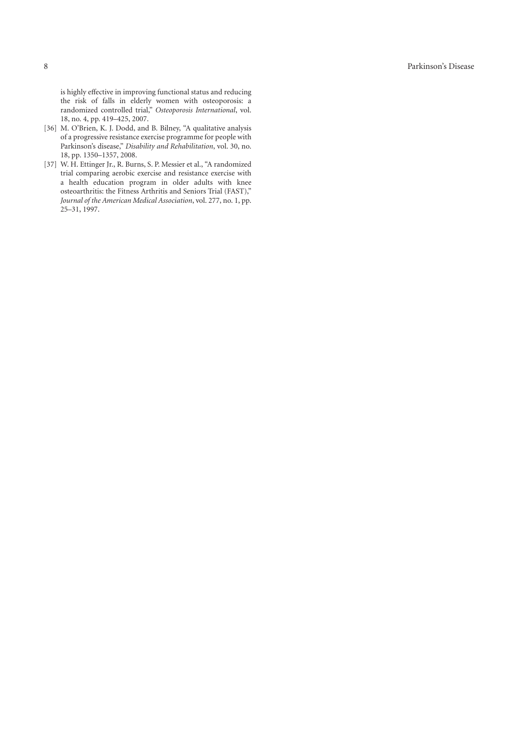is highly e ffective in improving functional status and reducing the risk of falls in elderly women with osteoporosis: a randomized controlled trial," *Osteoporosis International*, vol. 18, no. 4, pp. 419–425, 2007.

- [36] M. O'Brien, K. J. Dodd, and B. Bilney, "A qualitative analysis of a progressive resistance exercise programme for people with Parkinson's disease," *Disability and Rehabilitation*, vol. 30, no. 18, pp. 1350–1357, 2008.
- [37] W. H. Ettinger Jr., R. Burns, S. P. Messier et al., "A randomized trial comparing aerobic exercise and resistance exercise with a health education program in older adults with knee osteoarthritis: the Fitness Arthritis and Seniors Trial (FAST)," *Journal of the American Medical Association*, vol. 277, no. 1, pp. 25–31, 1997.